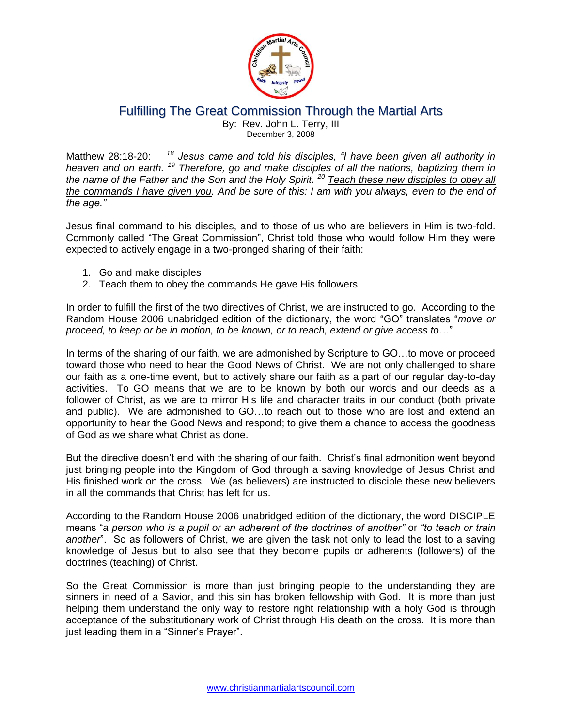

## Fulfilling The Great Commission Through the Martial Arts By: Rev. John L. Terry, III December 3, 2008

Matthew 28:18-20: *<sup>18</sup> Jesus came and told his disciples, "I have been given all authority in heaven and on earth. <sup>19</sup> Therefore, go and make disciples of all the nations, baptizing them in the name of the Father and the Son and the Holy Spirit. <sup>20</sup> Teach these new disciples to obey all the commands I have given you. And be sure of this: I am with you always, even to the end of the age."*

Jesus final command to his disciples, and to those of us who are believers in Him is two-fold. Commonly called "The Great Commission", Christ told those who would follow Him they were expected to actively engage in a two-pronged sharing of their faith:

- 1. Go and make disciples
- 2. Teach them to obey the commands He gave His followers

In order to fulfill the first of the two directives of Christ, we are instructed to go. According to the Random House 2006 unabridged edition of the dictionary, the word "GO" translates "*move or proceed, to keep or be in motion, to be known, or to reach, extend or give access to*…"

In terms of the sharing of our faith, we are admonished by Scripture to GO…to move or proceed toward those who need to hear the Good News of Christ. We are not only challenged to share our faith as a one-time event, but to actively share our faith as a part of our regular day-to-day activities. To GO means that we are to be known by both our words and our deeds as a follower of Christ, as we are to mirror His life and character traits in our conduct (both private and public). We are admonished to GO…to reach out to those who are lost and extend an opportunity to hear the Good News and respond; to give them a chance to access the goodness of God as we share what Christ as done.

But the directive doesn't end with the sharing of our faith. Christ's final admonition went beyond just bringing people into the Kingdom of God through a saving knowledge of Jesus Christ and His finished work on the cross. We (as believers) are instructed to disciple these new believers in all the commands that Christ has left for us.

According to the Random House 2006 unabridged edition of the dictionary, the word DISCIPLE means "*a person who is a pupil or an adherent of the doctrines of another"* or *"to teach or train another*". So as followers of Christ, we are given the task not only to lead the lost to a saving knowledge of Jesus but to also see that they become pupils or adherents (followers) of the doctrines (teaching) of Christ.

So the Great Commission is more than just bringing people to the understanding they are sinners in need of a Savior, and this sin has broken fellowship with God. It is more than just helping them understand the only way to restore right relationship with a holy God is through acceptance of the substitutionary work of Christ through His death on the cross. It is more than just leading them in a "Sinner's Prayer".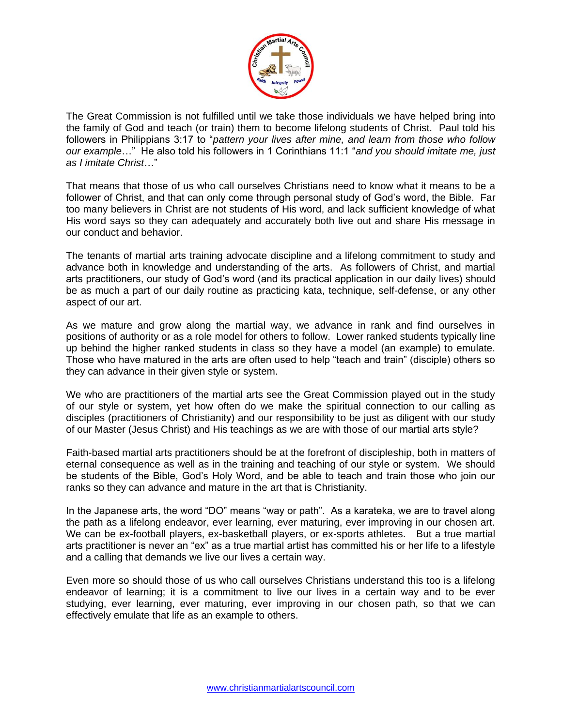

The Great Commission is not fulfilled until we take those individuals we have helped bring into the family of God and teach (or train) them to become lifelong students of Christ. Paul told his followers in Philippians 3:17 to "*pattern your lives after mine, and learn from those who follow our example*…" He also told his followers in 1 Corinthians 11:1 "*and you should imitate me, just as I imitate Christ*…"

That means that those of us who call ourselves Christians need to know what it means to be a follower of Christ, and that can only come through personal study of God's word, the Bible. Far too many believers in Christ are not students of His word, and lack sufficient knowledge of what His word says so they can adequately and accurately both live out and share His message in our conduct and behavior.

The tenants of martial arts training advocate discipline and a lifelong commitment to study and advance both in knowledge and understanding of the arts. As followers of Christ, and martial arts practitioners, our study of God's word (and its practical application in our daily lives) should be as much a part of our daily routine as practicing kata, technique, self-defense, or any other aspect of our art.

As we mature and grow along the martial way, we advance in rank and find ourselves in positions of authority or as a role model for others to follow. Lower ranked students typically line up behind the higher ranked students in class so they have a model (an example) to emulate. Those who have matured in the arts are often used to help "teach and train" (disciple) others so they can advance in their given style or system.

We who are practitioners of the martial arts see the Great Commission played out in the study of our style or system, yet how often do we make the spiritual connection to our calling as disciples (practitioners of Christianity) and our responsibility to be just as diligent with our study of our Master (Jesus Christ) and His teachings as we are with those of our martial arts style?

Faith-based martial arts practitioners should be at the forefront of discipleship, both in matters of eternal consequence as well as in the training and teaching of our style or system. We should be students of the Bible, God's Holy Word, and be able to teach and train those who join our ranks so they can advance and mature in the art that is Christianity.

In the Japanese arts, the word "DO" means "way or path". As a karateka, we are to travel along the path as a lifelong endeavor, ever learning, ever maturing, ever improving in our chosen art. We can be ex-football players, ex-basketball players, or ex-sports athletes. But a true martial arts practitioner is never an "ex" as a true martial artist has committed his or her life to a lifestyle and a calling that demands we live our lives a certain way.

Even more so should those of us who call ourselves Christians understand this too is a lifelong endeavor of learning; it is a commitment to live our lives in a certain way and to be ever studying, ever learning, ever maturing, ever improving in our chosen path, so that we can effectively emulate that life as an example to others.